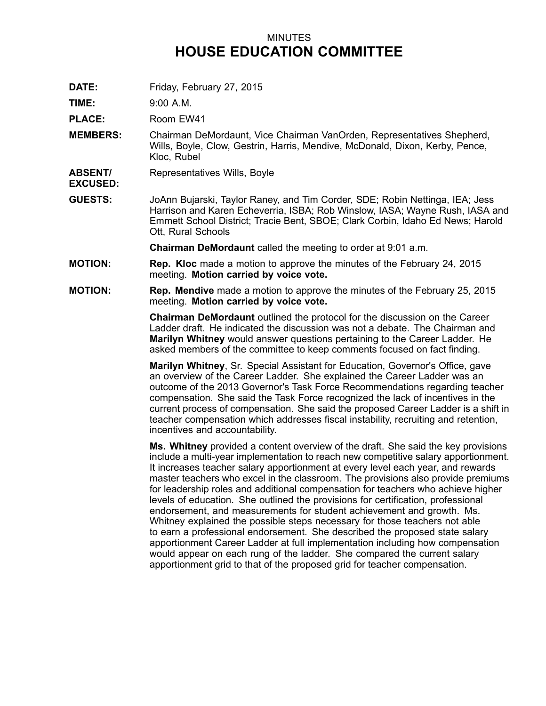## MINUTES **HOUSE EDUCATION COMMITTEE**

**DATE:** Friday, February 27, 2015

**TIME:** 9:00 A.M.

**PLACE:** Room EW41

- **MEMBERS:** Chairman DeMordaunt, Vice Chairman VanOrden, Representatives Shepherd, Wills, Boyle, Clow, Gestrin, Harris, Mendive, McDonald, Dixon, Kerby, Pence, Kloc, Rubel
- **ABSENT/** Representatives Wills, Boyle

**EXCUSED:**

**GUESTS:** JoAnn Bujarski, Taylor Raney, and Tim Corder, SDE; Robin Nettinga, IEA; Jess Harrison and Karen Echeverria, ISBA; Rob Winslow, IASA; Wayne Rush, IASA and Emmett School District; Tracie Bent, SBOE; Clark Corbin, Idaho Ed News; Harold Ott, Rural Schools

**Chairman DeMordaunt** called the meeting to order at 9:01 a.m.

- **MOTION: Rep. Kloc** made <sup>a</sup> motion to approve the minutes of the February 24, 2015 meeting. **Motion carried by voice vote.**
- **MOTION: Rep. Mendive** made <sup>a</sup> motion to approve the minutes of the February 25, 2015 meeting. **Motion carried by voice vote.**

**Chairman DeMordaunt** outlined the protocol for the discussion on the Career Ladder draft. He indicated the discussion was not a debate. The Chairman and **Marilyn Whitney** would answer questions pertaining to the Career Ladder. He asked members of the committee to keep comments focused on fact finding.

**Marilyn Whitney**, Sr. Special Assistant for Education, Governor's Office, gave an overview of the Career Ladder. She explained the Career Ladder was an outcome of the 2013 Governor's Task Force Recommendations regarding teacher compensation. She said the Task Force recognized the lack of incentives in the current process of compensation. She said the proposed Career Ladder is <sup>a</sup> shift in teacher compensation which addresses fiscal instability, recruiting and retention, incentives and accountability.

**Ms. Whitney** provided <sup>a</sup> content overview of the draft. She said the key provisions include <sup>a</sup> multi-year implementation to reach new competitive salary apportionment. It increases teacher salary apportionment at every level each year, and rewards master teachers who excel in the classroom. The provisions also provide premiums for leadership roles and additional compensation for teachers who achieve higher levels of education. She outlined the provisions for certification, professional endorsement, and measurements for student achievement and growth. Ms. Whitney explained the possible steps necessary for those teachers not able to earn <sup>a</sup> professional endorsement. She described the proposed state salary apportionment Career Ladder at full implementation including how compensation would appear on each rung of the ladder. She compared the current salary apportionment grid to that of the proposed grid for teacher compensation.